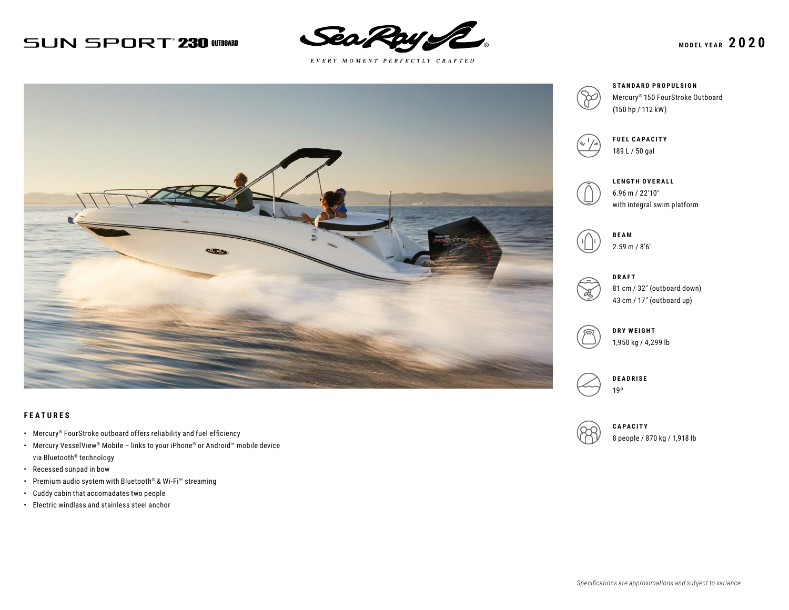# **SUN SPORT 230 OTBOARD**



 $E \; V \; E \; R \; Y \quad M \; O \; M \; E \; N \; T \quad P \; E \; R \; F \; E \; C \; T \; L \; Y \quad C \; R \; A \; F \; T \; E \; D$ 



### **FEATURES**

- Mercury® FourStroke outboard offers reliability and fuel efficiency
- Mercury VesselView® Mobile links to your iPhone® or Android™ mobile device via Bluetooth® technology
- Recessed sunpad in bow
- Premium audio system with Bluetooth® & Wi-Fi™ streaming
- Cuddy cabin that accomadates two people
- Electric windlass and stainless steel anchor



**STANDARD PROPULSION** Mercury® 150 FourStroke Outboard (150 hp / 112 kW)



**FUEL CAPACITY** 189 L / 50 gal



**LENGTH OVERALL** 6.96 m / 22′10″ with integral swim platform





81 cm / 32″ (outboard down) 43 cm / 17″ (outboard up)



**DRY WEIGHT** 1,950 kg / 4,299 lb





**CAPACITY** 8 people / 870 kg / 1,918 lb